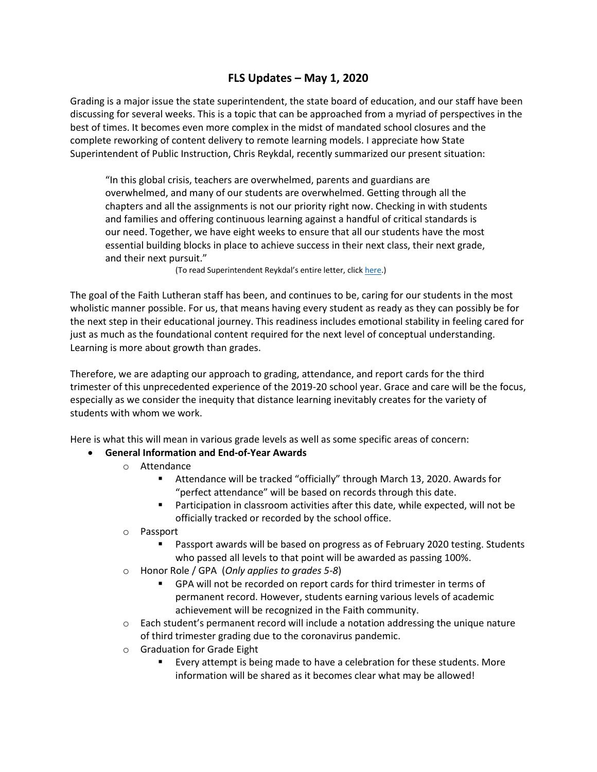## **FLS Updates – May 1, 2020**

Grading is a major issue the state superintendent, the state board of education, and our staff have been discussing for several weeks. This is a topic that can be approached from a myriad of perspectives in the best of times. It becomes even more complex in the midst of mandated school closures and the complete reworking of content delivery to remote learning models. I appreciate how State Superintendent of Public Instruction, Chris Reykdal, recently summarized our present situation:

"In this global crisis, teachers are overwhelmed, parents and guardians are overwhelmed, and many of our students are overwhelmed. Getting through all the chapters and all the assignments is not our priority right now. Checking in with students and families and offering continuous learning against a handful of critical standards is our need. Together, we have eight weeks to ensure that all our students have the most essential building blocks in place to achieve success in their next class, their next grade, and their next pursuit."

(To read Superintendent Reykdal's entire letter, click [here.\)](file:///C:/Users/Princ/Desktop/OSPI%20Student%20Learning%20and%20Grading%20Guidance.pdf)

The goal of the Faith Lutheran staff has been, and continues to be, caring for our students in the most wholistic manner possible. For us, that means having every student as ready as they can possibly be for the next step in their educational journey. This readiness includes emotional stability in feeling cared for just as much as the foundational content required for the next level of conceptual understanding. Learning is more about growth than grades.

Therefore, we are adapting our approach to grading, attendance, and report cards for the third trimester of this unprecedented experience of the 2019-20 school year. Grace and care will be the focus, especially as we consider the inequity that distance learning inevitably creates for the variety of students with whom we work.

Here is what this will mean in various grade levels as well as some specific areas of concern:

#### **General Information and End-of-Year Awards**

- o Attendance
	- Attendance will be tracked "officially" through March 13, 2020. Awards for "perfect attendance" will be based on records through this date.
	- Participation in classroom activities after this date, while expected, will not be officially tracked or recorded by the school office.
- o Passport
	- Passport awards will be based on progress as of February 2020 testing. Students who passed all levels to that point will be awarded as passing 100%.
- o Honor Role / GPA (*Only applies to grades 5-8*)
	- GPA will not be recorded on report cards for third trimester in terms of permanent record. However, students earning various levels of academic achievement will be recognized in the Faith community.
- $\circ$  Each student's permanent record will include a notation addressing the unique nature of third trimester grading due to the coronavirus pandemic.
- o Graduation for Grade Eight
	- Every attempt is being made to have a celebration for these students. More information will be shared as it becomes clear what may be allowed!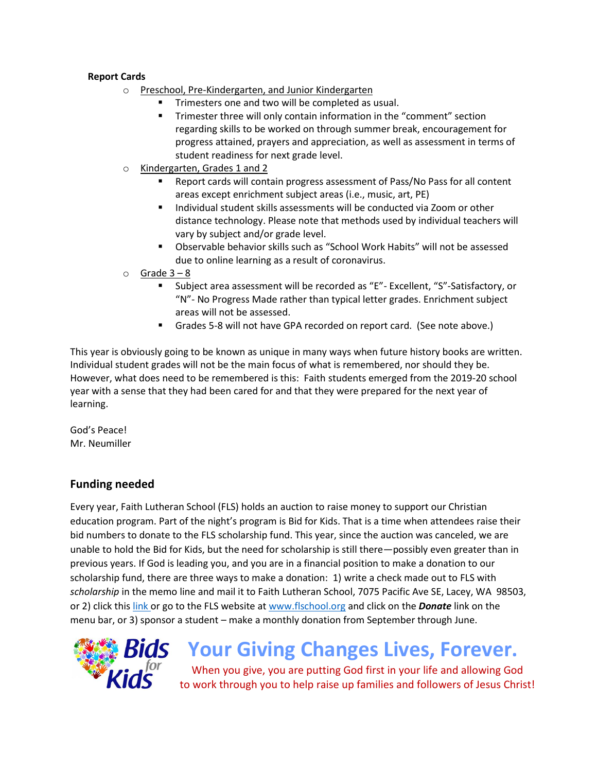#### **Report Cards**

- o Preschool, Pre-Kindergarten, and Junior Kindergarten
	- Trimesters one and two will be completed as usual.
	- Trimester three will only contain information in the "comment" section regarding skills to be worked on through summer break, encouragement for progress attained, prayers and appreciation, as well as assessment in terms of student readiness for next grade level.
- o Kindergarten, Grades 1 and 2
	- Report cards will contain progress assessment of Pass/No Pass for all content areas except enrichment subject areas (i.e., music, art, PE)
	- Individual student skills assessments will be conducted via Zoom or other distance technology. Please note that methods used by individual teachers will vary by subject and/or grade level.
	- Observable behavior skills such as "School Work Habits" will not be assessed due to online learning as a result of coronavirus.
- $\circ$  Grade 3 8
	- Subject area assessment will be recorded as "E"- Excellent, "S"-Satisfactory, or "N"- No Progress Made rather than typical letter grades. Enrichment subject areas will not be assessed.
	- Grades 5-8 will not have GPA recorded on report card. (See note above.)

This year is obviously going to be known as unique in many ways when future history books are written. Individual student grades will not be the main focus of what is remembered, nor should they be. However, what does need to be remembered is this: Faith students emerged from the 2019-20 school year with a sense that they had been cared for and that they were prepared for the next year of learning.

God's Peace! Mr. Neumiller

### **Funding needed**

Every year, Faith Lutheran School (FLS) holds an auction to raise money to support our Christian education program. Part of the night's program is Bid for Kids. That is a time when attendees raise their bid numbers to donate to the FLS scholarship fund. This year, since the auction was canceled, we are unable to hold the Bid for Kids, but the need for scholarship is still there—possibly even greater than in previous years. If God is leading you, and you are in a financial position to make a donation to our scholarship fund, there are three ways to make a donation: 1) write a check made out to FLS with *scholarship* in the memo line and mail it to Faith Lutheran School, 7075 Pacific Ave SE, Lacey, WA 98503, or 2) click this [link o](https://faithlutheranlacey.ejoinme.org/MyPages/DonationPage/tabid/1107017/Default.aspx)r go to the FLS website a[t www.flschool.org](http://www.flschool.org/) and click on the *Donate* link on the menu bar, or 3) sponsor a student – make a monthly donation from September through June.



# **Your Giving Changes Lives, Forever.**

When you give, you are putting God first in your life and allowing God to work through you to help raise up families and followers of Jesus Christ!